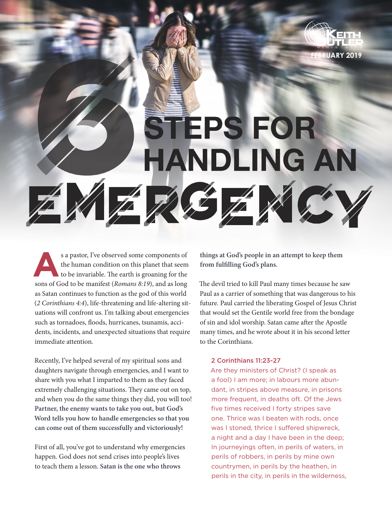

STEPS FOR **HANDLING AN** 

ÉF

s a pastor, I've observed some components of<br>the human condition on this planet that seem<br>to be invariable. The earth is groaning for the<br>sons of God to be manifest (*Pomans* 8:10), and as long the human condition on this planet that seem to be invariable. The earth is groaning for the sons of God to be manifest (*Romans 8:19*), and as long as Satan continues to function as the god of this world (*2 Corinthians 4:4*), life-threatening and life-altering situations will confront us. I'm talking about emergencies such as tornadoes, floods, hurricanes, tsunamis, accidents, incidents, and unexpected situations that require immediate attention.

Recently, I've helped several of my spiritual sons and daughters navigate through emergencies, and I want to share with you what I imparted to them as they faced extremely challenging situations. They came out on top, and when you do the same things they did, you will too! **Partner, the enemy wants to take you out, but God's Word tells you how to handle emergencies so that you can come out of them successfully and victoriously!** 

First of all, you've got to understand why emergencies happen. God does not send crises into people's lives to teach them a lesson. **Satan is the one who throws** 

**things at God's people in an attempt to keep them from fulfilling God's plans.** 

The devil tried to kill Paul many times because he saw Paul as a carrier of something that was dangerous to his future. Paul carried the liberating Gospel of Jesus Christ that would set the Gentile world free from the bondage of sin and idol worship. Satan came after the Apostle many times, and he wrote about it in his second letter to the Corinthians.

## 2 Corinthians 11:23-27

Are they ministers of Christ? (I speak as a fool) I am more; in labours more abundant, in stripes above measure, in prisons more frequent, in deaths oft. Of the Jews five times received I forty stripes save one. Thrice was I beaten with rods, once was I stoned, thrice I suffered shipwreck, a night and a day I have been in the deep; In journeyings often, in perils of waters, in perils of robbers, in perils by mine own countrymen, in perils by the heathen, in perils in the city, in perils in the wilderness,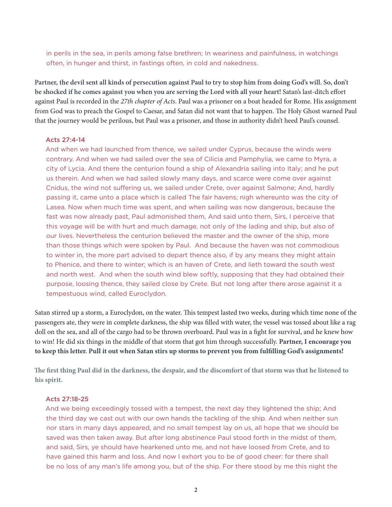in perils in the sea, in perils among false brethren; In weariness and painfulness, in watchings often, in hunger and thirst, in fastings often, in cold and nakedness.

**Partner, the devil sent all kinds of persecution against Paul to try to stop him from doing God's will. So, don't be shocked if he comes against you when you are serving the Lord with all your heart!** Satan's last-ditch effort against Paul is recorded in the *27th chapter of Acts*. Paul was a prisoner on a boat headed for Rome. His assignment from God was to preach the Gospel to Caesar, and Satan did not want that to happen. The Holy Ghost warned Paul that the journey would be perilous, but Paul was a prisoner, and those in authority didn't heed Paul's counsel.

#### Acts 27:4-14

And when we had launched from thence, we sailed under Cyprus, because the winds were contrary. And when we had sailed over the sea of Cilicia and Pamphylia, we came to Myra, a city of Lycia. And there the centurion found a ship of Alexandria sailing into Italy; and he put us therein. And when we had sailed slowly many days, and scarce were come over against Cnidus, the wind not suffering us, we sailed under Crete, over against Salmone; And, hardly passing it, came unto a place which is called The fair havens; nigh whereunto was the city of Lasea. Now when much time was spent, and when sailing was now dangerous, because the fast was now already past, Paul admonished them, And said unto them, Sirs, I perceive that this voyage will be with hurt and much damage, not only of the lading and ship, but also of our lives. Nevertheless the centurion believed the master and the owner of the ship, more than those things which were spoken by Paul. And because the haven was not commodious to winter in, the more part advised to depart thence also, if by any means they might attain to Phenice, and there to winter; which is an haven of Crete, and lieth toward the south west and north west. And when the south wind blew softly, supposing that they had obtained their purpose, loosing thence, they sailed close by Crete. But not long after there arose against it a tempestuous wind, called Euroclydon.

Satan stirred up a storm, a Euroclydon, on the water. This tempest lasted two weeks, during which time none of the passengers ate, they were in complete darkness, the ship was filled with water, the vessel was tossed about like a rag doll on the sea, and all of the cargo had to be thrown overboard. Paul was in a fight for survival, and he knew how to win! He did six things in the middle of that storm that got him through successfully. **Partner, I encourage you to keep this letter. Pull it out when Satan stirs up storms to prevent you from fulfilling God's assignments!** 

**The first thing Paul did in the darkness, the despair, and the discomfort of that storm was that he listened to his spirit.**

#### Acts 27:18-25

And we being exceedingly tossed with a tempest, the next day they lightened the ship; And the third day we cast out with our own hands the tackling of the ship. And when neither sun nor stars in many days appeared, and no small tempest lay on us, all hope that we should be saved was then taken away. But after long abstinence Paul stood forth in the midst of them, and said, Sirs, ye should have hearkened unto me, and not have loosed from Crete, and to have gained this harm and loss. And now I exhort you to be of good cheer: for there shall be no loss of any man's life among you, but of the ship. For there stood by me this night the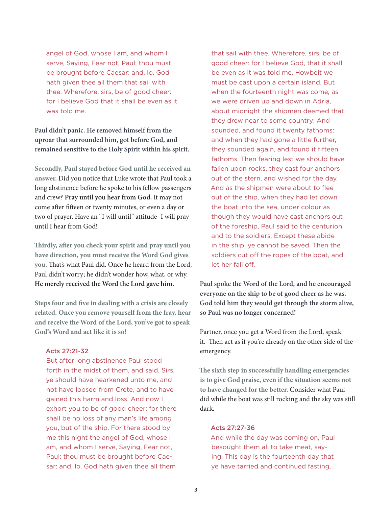angel of God, whose I am, and whom I serve, Saying, Fear not, Paul; thou must be brought before Caesar: and, lo, God hath given thee all them that sail with thee. Wherefore, sirs, be of good cheer: for I believe God that it shall be even as it was told me.

**Paul didn't panic. He removed himself from the uproar that surrounded him, got before God, and remained sensitive to the Holy Spirit within his spirit.**

**Secondly, Paul stayed before God until he received an answer.** Did you notice that Luke wrote that Paul took a long abstinence before he spoke to his fellow passengers and crew? **Pray until you hear from God.** It may not come after fifteen or twenty minutes, or even a day or two of prayer. Have an "I will until" attitude–I will pray until I hear from God!

**Thirdly, after you check your spirit and pray until you have direction, you must receive the Word God gives you.** That's what Paul did. Once he heard from the Lord, Paul didn't worry; he didn't wonder how, what, or why. **He merely received the Word the Lord gave him.**

**Steps four and five in dealing with a crisis are closely related. Once you remove yourself from the fray, hear and receive the Word of the Lord, you've got to speak God's Word and act like it is so!** 

# Acts 27:21-32

But after long abstinence Paul stood forth in the midst of them, and said, Sirs, ye should have hearkened unto me, and not have loosed from Crete, and to have gained this harm and loss. And now I exhort you to be of good cheer: for there shall be no loss of any man's life among you, but of the ship. For there stood by me this night the angel of God, whose I am, and whom I serve, Saying, Fear not, Paul; thou must be brought before Caesar: and, lo, God hath given thee all them

that sail with thee. Wherefore, sirs, be of good cheer: for I believe God, that it shall be even as it was told me. Howbeit we must be cast upon a certain island. But when the fourteenth night was come, as we were driven up and down in Adria, about midnight the shipmen deemed that they drew near to some country; And sounded, and found it twenty fathoms: and when they had gone a little further, they sounded again, and found it fifteen fathoms. Then fearing lest we should have fallen upon rocks, they cast four anchors out of the stern, and wished for the day. And as the shipmen were about to flee out of the ship, when they had let down the boat into the sea, under colour as though they would have cast anchors out of the foreship, Paul said to the centurion and to the soldiers, Except these abide in the ship, ye cannot be saved. Then the soldiers cut off the ropes of the boat, and let her fall off.

**Paul spoke the Word of the Lord, and he encouraged everyone on the ship to be of good cheer as he was. God told him they would get through the storm alive, so Paul was no longer concerned!**

Partner, once you get a Word from the Lord, speak it. Then act as if you're already on the other side of the emergency.

**The sixth step in successfully handling emergencies is to give God praise, even if the situation seems not to have changed for the better.** Consider what Paul did while the boat was still rocking and the sky was still dark.

### Acts 27:27-36

And while the day was coming on, Paul besought them all to take meat, saying, This day is the fourteenth day that ye have tarried and continued fasting,